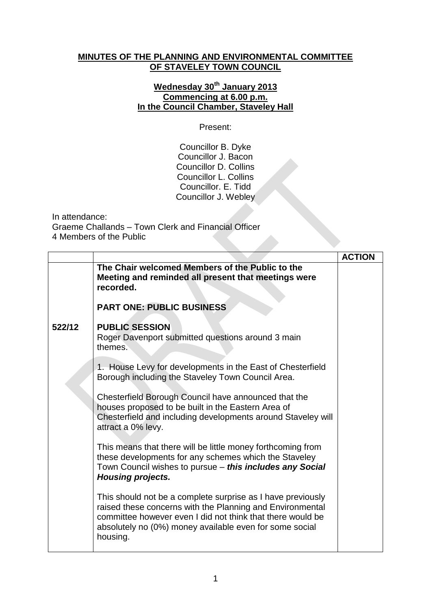## **MINUTES OF THE PLANNING AND ENVIRONMENTAL COMMITTEE OF STAVELEY TOWN COUNCIL**

## **Wednesday 30th January 2013 Commencing at 6.00 p.m. In the Council Chamber, Staveley Hall**

Present:

Councillor B. Dyke Councillor J. Bacon Councillor D. Collins Councillor L. Collins Councillor. E. Tidd Councillor J. Webley

In attendance:

Graeme Challands – Town Clerk and Financial Officer 4 Members of the Public

|        |                                                                                                                                                                                                                                                               | <b>ACTION</b> |
|--------|---------------------------------------------------------------------------------------------------------------------------------------------------------------------------------------------------------------------------------------------------------------|---------------|
|        | The Chair welcomed Members of the Public to the<br>Meeting and reminded all present that meetings were<br>recorded.                                                                                                                                           |               |
|        | <b>PART ONE: PUBLIC BUSINESS</b>                                                                                                                                                                                                                              |               |
| 522/12 | <b>PUBLIC SESSION</b><br>Roger Davenport submitted questions around 3 main<br>themes.                                                                                                                                                                         |               |
|        | 1. House Levy for developments in the East of Chesterfield<br>Borough including the Staveley Town Council Area.                                                                                                                                               |               |
|        | Chesterfield Borough Council have announced that the<br>houses proposed to be built in the Eastern Area of<br>Chesterfield and including developments around Staveley will<br>attract a 0% levy.                                                              |               |
|        | This means that there will be little money forthcoming from<br>these developments for any schemes which the Staveley<br>Town Council wishes to pursue - this includes any Social<br>Housing projects.                                                         |               |
|        | This should not be a complete surprise as I have previously<br>raised these concerns with the Planning and Environmental<br>committee however even I did not think that there would be<br>absolutely no (0%) money available even for some social<br>housing. |               |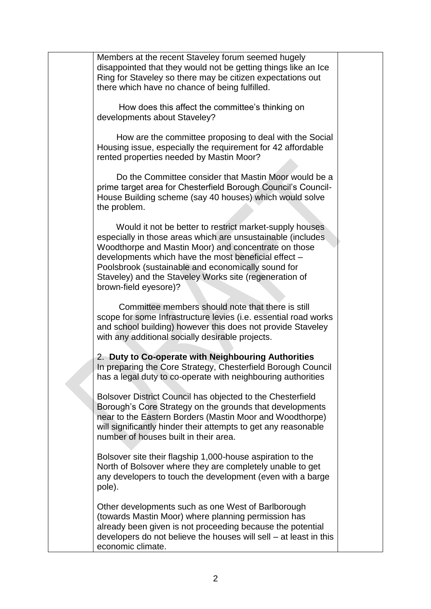Members at the recent Staveley forum seemed hugely disappointed that they would not be getting things like an Ice Ring for Staveley so there may be citizen expectations out there which have no chance of being fulfilled.

 How does this affect the committee's thinking on developments about Staveley?

 How are the committee proposing to deal with the Social Housing issue, especially the requirement for 42 affordable rented properties needed by Mastin Moor?

 Do the Committee consider that Mastin Moor would be a prime target area for Chesterfield Borough Council's Council-House Building scheme (say 40 houses) which would solve the problem.

 Would it not be better to restrict market-supply houses especially in those areas which are unsustainable (includes Woodthorpe and Mastin Moor) and concentrate on those developments which have the most beneficial effect – Poolsbrook (sustainable and economically sound for Staveley) and the Staveley Works site (regeneration of brown-field eyesore)?

 Committee members should note that there is still scope for some Infrastructure levies (i.e. essential road works and school building) however this does not provide Staveley with any additional socially desirable projects.

2. **Duty to Co-operate with Neighbouring Authorities** In preparing the Core Strategy, Chesterfield Borough Council has a legal duty to co-operate with neighbouring authorities

Bolsover District Council has objected to the Chesterfield Borough's Core Strategy on the grounds that developments near to the Eastern Borders (Mastin Moor and Woodthorpe) will significantly hinder their attempts to get any reasonable number of houses built in their area.

Bolsover site their flagship 1,000-house aspiration to the North of Bolsover where they are completely unable to get any developers to touch the development (even with a barge pole).

Other developments such as one West of Barlborough (towards Mastin Moor) where planning permission has already been given is not proceeding because the potential developers do not believe the houses will sell – at least in this economic climate.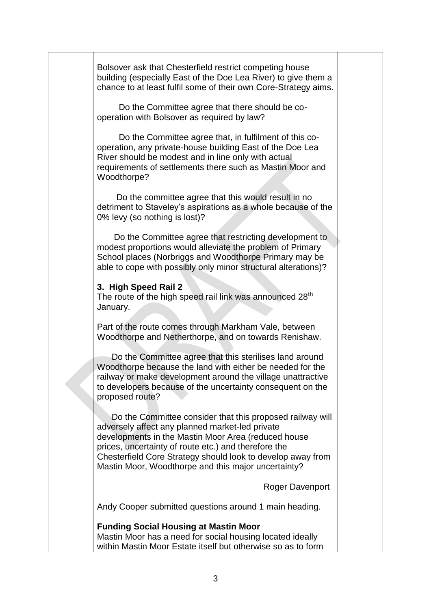Bolsover ask that Chesterfield restrict competing house building (especially East of the Doe Lea River) to give them a chance to at least fulfil some of their own Core-Strategy aims.

 Do the Committee agree that there should be cooperation with Bolsover as required by law?

 Do the Committee agree that, in fulfilment of this cooperation, any private-house building East of the Doe Lea River should be modest and in line only with actual requirements of settlements there such as Mastin Moor and Woodthorpe?

 Do the committee agree that this would result in no detriment to Staveley's aspirations as a whole because of the 0% levy (so nothing is lost)?

 Do the Committee agree that restricting development to modest proportions would alleviate the problem of Primary School places (Norbriggs and Woodthorpe Primary may be able to cope with possibly only minor structural alterations)?

## **3. High Speed Rail 2**

The route of the high speed rail link was announced  $28<sup>th</sup>$ January.

Part of the route comes through Markham Vale, between Woodthorpe and Netherthorpe, and on towards Renishaw.

 Do the Committee agree that this sterilises land around Woodthorpe because the land with either be needed for the railway or make development around the village unattractive to developers because of the uncertainty consequent on the proposed route?

 Do the Committee consider that this proposed railway will adversely affect any planned market-led private developments in the Mastin Moor Area (reduced house prices, uncertainty of route etc.) and therefore the Chesterfield Core Strategy should look to develop away from Mastin Moor, Woodthorpe and this major uncertainty?

Roger Davenport

Andy Cooper submitted questions around 1 main heading.

## **Funding Social Housing at Mastin Moor**

Mastin Moor has a need for social housing located ideally within Mastin Moor Estate itself but otherwise so as to form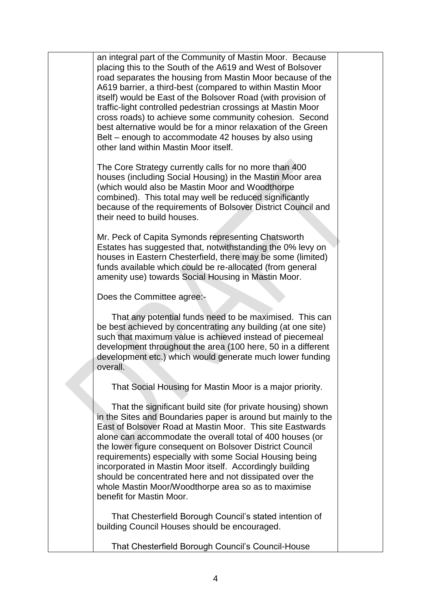an integral part of the Community of Mastin Moor. Because placing this to the South of the A619 and West of Bolsover road separates the housing from Mastin Moor because of the A619 barrier, a third-best (compared to within Mastin Moor itself) would be East of the Bolsover Road (with provision of traffic-light controlled pedestrian crossings at Mastin Moor cross roads) to achieve some community cohesion. Second best alternative would be for a minor relaxation of the Green Belt – enough to accommodate 42 houses by also using other land within Mastin Moor itself.

The Core Strategy currently calls for no more than 400 houses (including Social Housing) in the Mastin Moor area (which would also be Mastin Moor and Woodthorpe combined). This total may well be reduced significantly because of the requirements of Bolsover District Council and their need to build houses.

Mr. Peck of Capita Symonds representing Chatsworth Estates has suggested that, notwithstanding the 0% levy on houses in Eastern Chesterfield, there may be some (limited) funds available which could be re-allocated (from general amenity use) towards Social Housing in Mastin Moor.

Does the Committee agree:-

 That any potential funds need to be maximised. This can be best achieved by concentrating any building (at one site) such that maximum value is achieved instead of piecemeal development throughout the area (100 here, 50 in a different development etc.) which would generate much lower funding overall.

That Social Housing for Mastin Moor is a major priority.

 That the significant build site (for private housing) shown in the Sites and Boundaries paper is around but mainly to the East of Bolsover Road at Mastin Moor. This site Eastwards alone can accommodate the overall total of 400 houses (or the lower figure consequent on Bolsover District Council requirements) especially with some Social Housing being incorporated in Mastin Moor itself. Accordingly building should be concentrated here and not dissipated over the whole Mastin Moor/Woodthorpe area so as to maximise benefit for Mastin Moor.

 That Chesterfield Borough Council's stated intention of building Council Houses should be encouraged.

That Chesterfield Borough Council's Council-House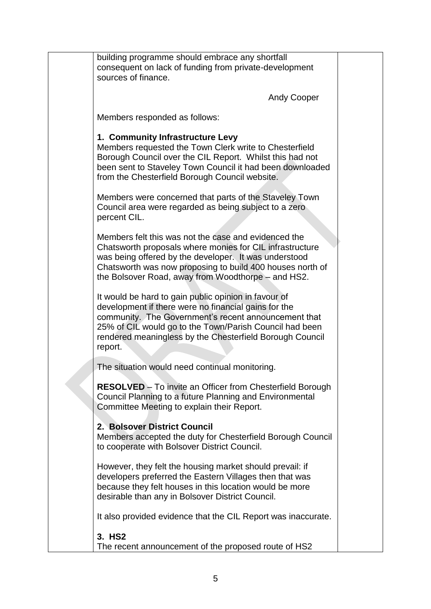| building programme should embrace any shortfall<br>consequent on lack of funding from private-development<br>sources of finance.                                                                                                                                                                       |  |
|--------------------------------------------------------------------------------------------------------------------------------------------------------------------------------------------------------------------------------------------------------------------------------------------------------|--|
| <b>Andy Cooper</b>                                                                                                                                                                                                                                                                                     |  |
| Members responded as follows:                                                                                                                                                                                                                                                                          |  |
| 1. Community Infrastructure Levy<br>Members requested the Town Clerk write to Chesterfield<br>Borough Council over the CIL Report. Whilst this had not<br>been sent to Staveley Town Council it had been downloaded<br>from the Chesterfield Borough Council website.                                  |  |
| Members were concerned that parts of the Staveley Town<br>Council area were regarded as being subject to a zero<br>percent CIL.                                                                                                                                                                        |  |
| Members felt this was not the case and evidenced the<br>Chatsworth proposals where monies for CIL infrastructure<br>was being offered by the developer. It was understood<br>Chatsworth was now proposing to build 400 houses north of<br>the Bolsover Road, away from Woodthorpe - and HS2.           |  |
| It would be hard to gain public opinion in favour of<br>development if there were no financial gains for the<br>community. The Government's recent announcement that<br>25% of CIL would go to the Town/Parish Council had been<br>rendered meaningless by the Chesterfield Borough Council<br>report. |  |
| The situation would need continual monitoring.                                                                                                                                                                                                                                                         |  |
| <b>RESOLVED</b> – To invite an Officer from Chesterfield Borough<br>Council Planning to a future Planning and Environmental<br>Committee Meeting to explain their Report.                                                                                                                              |  |
| 2. Bolsover District Council<br>Members accepted the duty for Chesterfield Borough Council<br>to cooperate with Bolsover District Council.                                                                                                                                                             |  |
| However, they felt the housing market should prevail: if<br>developers preferred the Eastern Villages then that was<br>because they felt houses in this location would be more<br>desirable than any in Bolsover District Council.                                                                     |  |
| It also provided evidence that the CIL Report was inaccurate.                                                                                                                                                                                                                                          |  |
| 3. HS2<br>The recent announcement of the proposed route of HS2                                                                                                                                                                                                                                         |  |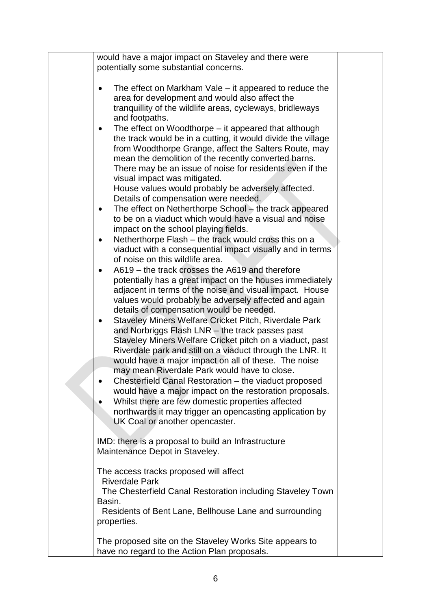| would have a major impact on Staveley and there were                                                                                                                                                                                                                                                                                                                                                                                                                                                                                                                                                                                                                                                                                                                                                                                                                                                                                                                                                                                                                                                                                                                                                                                                                                                                                                                                                                                                                                                                                                                                                                                                                                                                                                                                                                                                                                                                                   |  |
|----------------------------------------------------------------------------------------------------------------------------------------------------------------------------------------------------------------------------------------------------------------------------------------------------------------------------------------------------------------------------------------------------------------------------------------------------------------------------------------------------------------------------------------------------------------------------------------------------------------------------------------------------------------------------------------------------------------------------------------------------------------------------------------------------------------------------------------------------------------------------------------------------------------------------------------------------------------------------------------------------------------------------------------------------------------------------------------------------------------------------------------------------------------------------------------------------------------------------------------------------------------------------------------------------------------------------------------------------------------------------------------------------------------------------------------------------------------------------------------------------------------------------------------------------------------------------------------------------------------------------------------------------------------------------------------------------------------------------------------------------------------------------------------------------------------------------------------------------------------------------------------------------------------------------------------|--|
| potentially some substantial concerns.<br>The effect on Markham Vale – it appeared to reduce the<br>$\bullet$<br>area for development and would also affect the<br>tranquillity of the wildlife areas, cycleways, bridleways<br>and footpaths.<br>The effect on Woodthorpe – it appeared that although<br>$\bullet$<br>the track would be in a cutting, it would divide the village<br>from Woodthorpe Grange, affect the Salters Route, may<br>mean the demolition of the recently converted barns.<br>There may be an issue of noise for residents even if the<br>visual impact was mitigated.<br>House values would probably be adversely affected.<br>Details of compensation were needed.<br>The effect on Netherthorpe School – the track appeared<br>$\bullet$<br>to be on a viaduct which would have a visual and noise<br>impact on the school playing fields.<br>Netherthorpe Flash – the track would cross this on a<br>$\bullet$<br>viaduct with a consequential impact visually and in terms<br>of noise on this wildlife area.<br>A619 – the track crosses the A619 and therefore<br>$\bullet$<br>potentially has a great impact on the houses immediately<br>adjacent in terms of the noise and visual impact. House<br>values would probably be adversely affected and again<br>details of compensation would be needed.<br>Staveley Miners Welfare Cricket Pitch, Riverdale Park<br>$\bullet$<br>and Norbriggs Flash LNR - the track passes past<br>Staveley Miners Welfare Cricket pitch on a viaduct, past<br>Riverdale park and still on a viaduct through the LNR. It<br>would have a major impact on all of these. The noise<br>may mean Riverdale Park would have to close.<br>Chesterfield Canal Restoration – the viaduct proposed<br>would have a major impact on the restoration proposals.<br>Whilst there are few domestic properties affected<br>northwards it may trigger an opencasting application by |  |
| UK Coal or another opencaster.                                                                                                                                                                                                                                                                                                                                                                                                                                                                                                                                                                                                                                                                                                                                                                                                                                                                                                                                                                                                                                                                                                                                                                                                                                                                                                                                                                                                                                                                                                                                                                                                                                                                                                                                                                                                                                                                                                         |  |
| IMD: there is a proposal to build an Infrastructure<br>Maintenance Depot in Staveley.                                                                                                                                                                                                                                                                                                                                                                                                                                                                                                                                                                                                                                                                                                                                                                                                                                                                                                                                                                                                                                                                                                                                                                                                                                                                                                                                                                                                                                                                                                                                                                                                                                                                                                                                                                                                                                                  |  |
| The access tracks proposed will affect<br><b>Riverdale Park</b><br>The Chesterfield Canal Restoration including Staveley Town<br>Basin.<br>Residents of Bent Lane, Bellhouse Lane and surrounding<br>properties.                                                                                                                                                                                                                                                                                                                                                                                                                                                                                                                                                                                                                                                                                                                                                                                                                                                                                                                                                                                                                                                                                                                                                                                                                                                                                                                                                                                                                                                                                                                                                                                                                                                                                                                       |  |
| The proposed site on the Staveley Works Site appears to<br>have no regard to the Action Plan proposals.                                                                                                                                                                                                                                                                                                                                                                                                                                                                                                                                                                                                                                                                                                                                                                                                                                                                                                                                                                                                                                                                                                                                                                                                                                                                                                                                                                                                                                                                                                                                                                                                                                                                                                                                                                                                                                |  |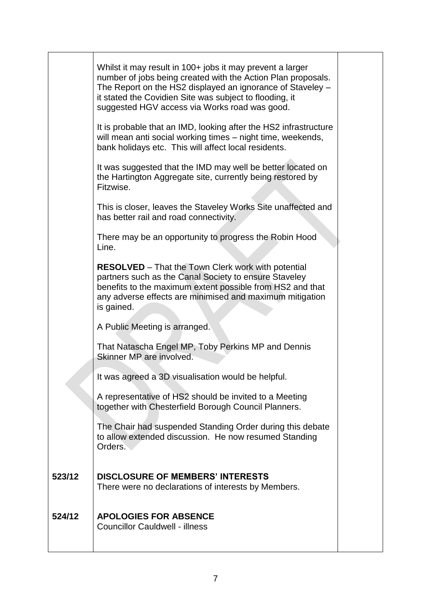|        | Whilst it may result in 100+ jobs it may prevent a larger<br>number of jobs being created with the Action Plan proposals.<br>The Report on the HS2 displayed an ignorance of Staveley –<br>it stated the Covidien Site was subject to flooding, it<br>suggested HGV access via Works road was good. |  |
|--------|-----------------------------------------------------------------------------------------------------------------------------------------------------------------------------------------------------------------------------------------------------------------------------------------------------|--|
|        | It is probable that an IMD, looking after the HS2 infrastructure<br>will mean anti social working times - night time, weekends,<br>bank holidays etc. This will affect local residents.                                                                                                             |  |
|        | It was suggested that the IMD may well be better located on<br>the Hartington Aggregate site, currently being restored by<br>Fitzwise.                                                                                                                                                              |  |
|        | This is closer, leaves the Staveley Works Site unaffected and<br>has better rail and road connectivity.                                                                                                                                                                                             |  |
|        | There may be an opportunity to progress the Robin Hood<br>Line.                                                                                                                                                                                                                                     |  |
|        | <b>RESOLVED</b> – That the Town Clerk work with potential<br>partners such as the Canal Society to ensure Staveley<br>benefits to the maximum extent possible from HS2 and that<br>any adverse effects are minimised and maximum mitigation<br>is gained.                                           |  |
|        | A Public Meeting is arranged.                                                                                                                                                                                                                                                                       |  |
|        | That Natascha Engel MP, Toby Perkins MP and Dennis<br>Skinner MP are involved.                                                                                                                                                                                                                      |  |
|        | It was agreed a 3D visualisation would be helpful.                                                                                                                                                                                                                                                  |  |
|        | A representative of HS2 should be invited to a Meeting<br>together with Chesterfield Borough Council Planners.                                                                                                                                                                                      |  |
|        | The Chair had suspended Standing Order during this debate<br>to allow extended discussion. He now resumed Standing<br>Orders.                                                                                                                                                                       |  |
| 523/12 | <b>DISCLOSURE OF MEMBERS' INTERESTS</b><br>There were no declarations of interests by Members.                                                                                                                                                                                                      |  |
| 524/12 | <b>APOLOGIES FOR ABSENCE</b><br><b>Councillor Cauldwell - illness</b>                                                                                                                                                                                                                               |  |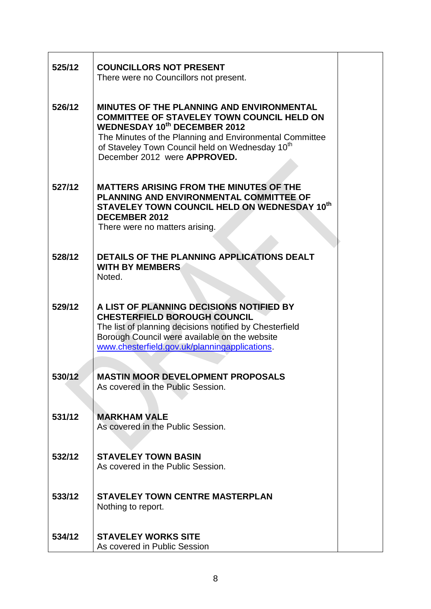| 525/12 | <b>COUNCILLORS NOT PRESENT</b><br>There were no Councillors not present.                                                                                                                                                                                                                               |
|--------|--------------------------------------------------------------------------------------------------------------------------------------------------------------------------------------------------------------------------------------------------------------------------------------------------------|
| 526/12 | <b>MINUTES OF THE PLANNING AND ENVIRONMENTAL</b><br><b>COMMITTEE OF STAVELEY TOWN COUNCIL HELD ON</b><br><b>WEDNESDAY 10th DECEMBER 2012</b><br>The Minutes of the Planning and Environmental Committee<br>of Staveley Town Council held on Wednesday 10 <sup>th</sup><br>December 2012 were APPROVED. |
| 527/12 | <b>MATTERS ARISING FROM THE MINUTES OF THE</b><br>PLANNING AND ENVIRONMENTAL COMMITTEE OF<br>STAVELEY TOWN COUNCIL HELD ON WEDNESDAY 10th<br><b>DECEMBER 2012</b><br>There were no matters arising.                                                                                                    |
| 528/12 | DETAILS OF THE PLANNING APPLICATIONS DEALT<br><b>WITH BY MEMBERS</b><br>Noted.                                                                                                                                                                                                                         |
| 529/12 | A LIST OF PLANNING DECISIONS NOTIFIED BY<br><b>CHESTERFIELD BOROUGH COUNCIL</b><br>The list of planning decisions notified by Chesterfield<br>Borough Council were available on the website<br>www.chesterfield.gov.uk/planningapplications.                                                           |
| 530/12 | <b>MASTIN MOOR DEVELOPMENT PROPOSALS</b><br>As covered in the Public Session.                                                                                                                                                                                                                          |
| 531/12 | <b>MARKHAM VALE</b><br>As covered in the Public Session.                                                                                                                                                                                                                                               |
| 532/12 | <b>STAVELEY TOWN BASIN</b><br>As covered in the Public Session.                                                                                                                                                                                                                                        |
| 533/12 | <b>STAVELEY TOWN CENTRE MASTERPLAN</b><br>Nothing to report.                                                                                                                                                                                                                                           |
| 534/12 | <b>STAVELEY WORKS SITE</b><br>As covered in Public Session                                                                                                                                                                                                                                             |